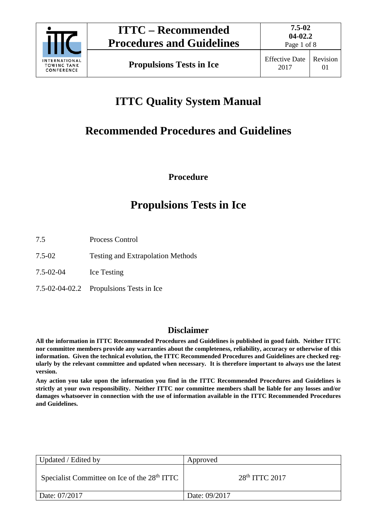

Page 1 of 8

**Propulsions Tests in Ice** Effective Date

# **ITTC Quality System Manual**

# **Recommended Procedures and Guidelines**

**Procedure**

## **Propulsions Tests in Ice**

- 7.5 Process Control
- 7.5-02 Testing and Extrapolation Methods

7.5-02-04 Ice Testing

7.5-02-04-02.2 Propulsions Tests in Ice

## **Disclaimer**

**All the information in ITTC Recommended Procedures and Guidelines is published in good faith. Neither ITTC nor committee members provide any warranties about the completeness, reliability, accuracy or otherwise of this information. Given the technical evolution, the ITTC Recommended Procedures and Guidelines are checked regularly by the relevant committee and updated when necessary. It is therefore important to always use the latest version.**

**Any action you take upon the information you find in the ITTC Recommended Procedures and Guidelines is strictly at your own responsibility. Neither ITTC nor committee members shall be liable for any losses and/or damages whatsoever in connection with the use of information available in the ITTC Recommended Procedures and Guidelines.**

| Updated / Edited by                                      | Approved         |
|----------------------------------------------------------|------------------|
| Specialist Committee on Ice of the 28 <sup>th</sup> ITTC | $28th$ ITTC 2017 |
| Date: 07/2017                                            | Date: 09/2017    |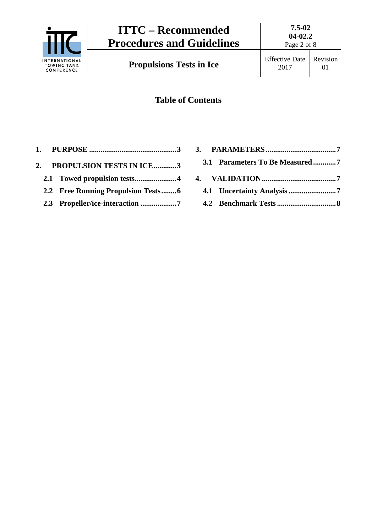

## **Table of Contents**

- **1. PURPOSE [..............................................3](#page-2-0)**
- **2. [PROPULSION TESTS IN ICE............3](#page-2-1)**
	- **2.1 [Towed propulsion tests......................4](#page-3-0)**
	- **2.2 Free [Running Propulsion Tests........6](#page-5-0)**
	- **2.3 [Propeller/ice-interaction](#page-6-0) ...................7**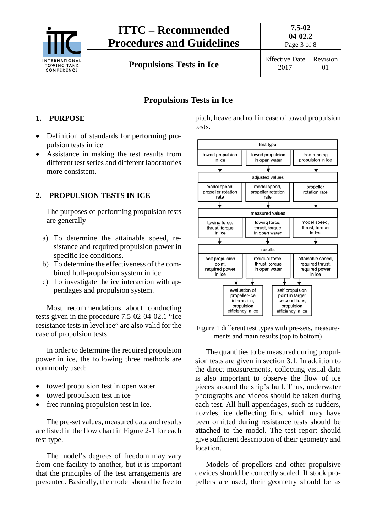

## **ITTC – Recommended Procedures and Guidelines**

Page 3 of 8

01

**Propulsions Tests in Ice** Effective Date

## **Propulsions Tests in Ice**

### <span id="page-2-0"></span>**1. PURPOSE**

- Definition of standards for performing propulsion tests in ice
- Assistance in making the test results from different test series and different laboratories more consistent.

### <span id="page-2-1"></span>**2. PROPULSION TESTS IN ICE**

The purposes of performing propulsion tests are generally

- a) To determine the attainable speed, resistance and required propulsion power in specific ice conditions.
- b) To determine the effectiveness of the combined hull-propulsion system in ice.
- c) To investigate the ice interaction with appendages and propulsion system.

Most recommendations about conducting tests given in the procedure 7.5-02-04-02.1 "Ice resistance tests in level ice" are also valid for the case of propulsion tests.

In order to determine the required propulsion power in ice, the following three methods are commonly used:

- towed propulsion test in open water
- towed propulsion test in ice
- free running propulsion test in ice.

The pre-set values, measured data and results are listed in the flow chart in Figure 2-1 for each test type.

The model's degrees of freedom may vary from one facility to another, but it is important that the principles of the test arrangements are presented. Basically, the model should be free to pitch, heave and roll in case of towed propulsion tests.



Figure 1 different test types with pre-sets, measurements and main results (top to bottom)

The quantities to be measured during propulsion tests are given in section 3.1. In addition to the direct measurements, collecting visual data is also important to observe the flow of ice pieces around the ship's hull. Thus, underwater photographs and videos should be taken during each test. All hull appendages, such as rudders, nozzles, ice deflecting fins, which may have been omitted during resistance tests should be attached to the model. The test report should give sufficient description of their geometry and location.

Models of propellers and other propulsive devices should be correctly scaled. If stock propellers are used, their geometry should be as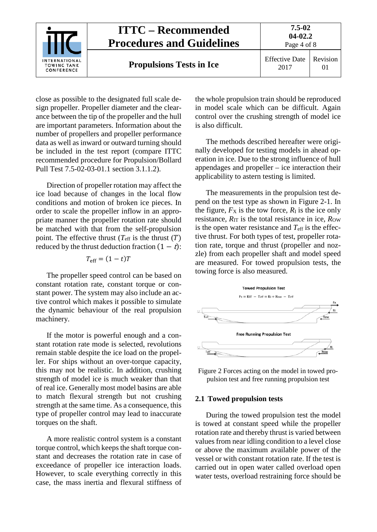

close as possible to the designated full scale design propeller. Propeller diameter and the clearance between the tip of the propeller and the hull are important parameters. Information about the number of propellers and propeller performance data as well as inward or outward turning should be included in the test report (compare ITTC recommended procedure for Propulsion/Bollard Pull Test 7.5-02-03-01.1 section 3.1.1.2).

Direction of propeller rotation may affect the ice load because of changes in the local flow conditions and motion of broken ice pieces. In order to scale the propeller inflow in an appropriate manner the propeller rotation rate should be matched with that from the self-propulsion point. The effective thrust  $(T_{\text{eff}})$  is the thrust  $(T)$ reduced by the thrust deduction fraction  $(1 - t)$ :

#### $T_{\text{eff}} = (1 - t)T$

The propeller speed control can be based on constant rotation rate, constant torque or constant power. The system may also include an active control which makes it possible to simulate the dynamic behaviour of the real propulsion machinery.

If the motor is powerful enough and a constant rotation rate mode is selected, revolutions remain stable despite the ice load on the propeller. For ships without an over-torque capacity, this may not be realistic. In addition, crushing strength of model ice is much weaker than that of real ice. Generally most model basins are able to match flexural strength but not crushing strength at the same time. As a consequence, this type of propeller control may lead to inaccurate torques on the shaft.

A more realistic control system is a constant torque control, which keeps the shaft torque constant and decreases the rotation rate in case of exceedance of propeller ice interaction loads. However, to scale everything correctly in this case, the mass inertia and flexural stiffness of the whole propulsion train should be reproduced in model scale which can be difficult. Again control over the crushing strength of model ice is also difficult.

The methods described hereafter were originally developed for testing models in ahead operation in ice. Due to the strong influence of hull appendages and propeller – ice interaction their applicability to astern testing is limited.

The measurements in the propulsion test depend on the test type as shown in Figure 2-1. In the figure,  $F_X$  is the tow force,  $R_I$  is the ice only resistance,  $R_{IT}$  is the total resistance in ice,  $R_{OW}$ is the open water resistance and  $T_{\text{eff}}$  is the effective thrust. For both types of test, propeller rotation rate, torque and thrust (propeller and nozzle) from each propeller shaft and model speed are measured. For towed propulsion tests, the towing force is also measured.



Figure 2 Forces acting on the model in towed propulsion test and free running propulsion test

#### <span id="page-3-0"></span>**2.1 Towed propulsion tests**

During the towed propulsion test the model is towed at constant speed while the propeller rotation rate and thereby thrust is varied between values from near idling condition to a level close or above the maximum available power of the vessel or with constant rotation rate. If the test is carried out in open water called overload open water tests, overload restraining force should be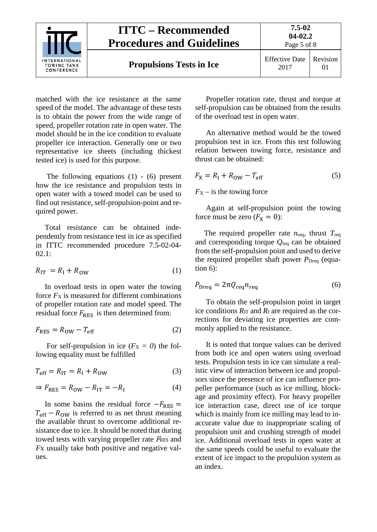

matched with the ice resistance at the same speed of the model. The advantage of these tests is to obtain the power from the wide range of speed, propeller rotation rate in open water. The model should be in the ice condition to evaluate propeller ice interaction. Generally one or two representative ice sheets (including thickest tested ice) is used for this purpose.

The following equations  $(1)$  -  $(6)$  present how the ice resistance and propulsion tests in open water with a towed model can be used to find out resistance, self-propulsion-point and required power.

Total resistance can be obtained independently from resistance test in ice as specified in ITTC recommended procedure 7.5-02-04- 02.1:

$$
R_{\rm IT} = R_{\rm I} + R_{\rm OW} \tag{1}
$$

In overload tests in open water the towing force  $F_X$  is measured for different combinations of propeller rotation rate and model speed. The residual force  $F_{RES}$  is then determined from:

$$
F_{\rm RES} = R_{\rm OW} - T_{\rm eff} \tag{2}
$$

For self-propulsion in ice  $(F_X = 0)$  the following equality must be fulfilled

$$
T_{\rm eff} = R_{\rm IT} = R_{\rm I} + R_{\rm OW} \tag{3}
$$

$$
\Rightarrow F_{\text{RES}} = R_{\text{OW}} - R_{\text{IT}} = -R_{\text{I}} \tag{4}
$$

In some basins the residual force  $-F_{RES}$  =  $T_{\text{eff}}$  –  $R_{\text{OW}}$  is referred to as net thrust meaning the available thrust to overcome additional resistance due to ice. It should be noted that during towed tests with varying propeller rate <sup>F</sup>RES and *F*x usually take both positive and negative values.

Propeller rotation rate, thrust and torque at self-propulsion can be obtained from the results of the overload test in open water.

An alternative method would be the towed propulsion test in ice. From this test following relation between towing force, resistance and thrust can be obtained:

$$
F_X = R_I + R_{\text{OW}} - T_{\text{eff}} \tag{5}
$$

 $F_X$  – is the towing force

Again at self-propulsion point the towing force must be zero  $(F_X = 0)$ :

The required propeller rate *n*req, thrust *T*req and corresponding torque *Q*req can be obtained from the self-propulsion point and used to derive the required propeller shaft power *P*<sub>Dreq</sub> (equation 6):

$$
P_{\text{Dreq}} = 2\pi Q_{\text{req}} n_{\text{req}} \tag{6}
$$

To obtain the self-propulsion point in target ice conditions  $R_{\text{IT}}$  and  $R_{\text{I}}$  are required as the corrections for deviating ice properties are commonly applied to the resistance.

It is noted that torque values can be derived from both ice and open waters using overload tests. Propulsion tests in ice can simulate a realistic view of interaction between ice and propulsors since the presence of ice can influence propeller performance (such as ice milling, blockage and proximity effect). For heavy propeller ice interaction case, direct use of ice torque which is mainly from ice milling may lead to inaccurate value due to inappropriate scaling of propulsion unit and crushing strength of model ice. Additional overload tests in open water at the same speeds could be useful to evaluate the extent of ice impact to the propulsion system as an index.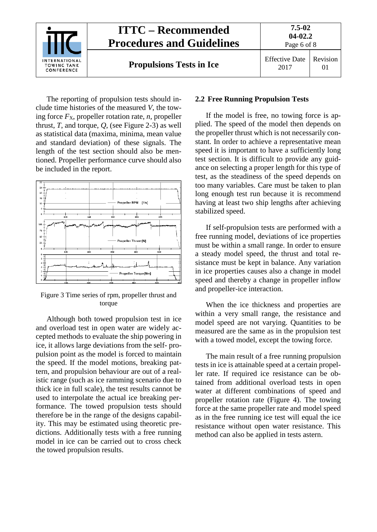

The reporting of propulsion tests should include time histories of the measured *V*, the towing force  $F_X$ , propeller rotation rate, *n*, propeller thrust,  $T$ , and torque,  $Q$ , (see Figure 2-3) as well as statistical data (maxima, minima, mean value and standard deviation) of these signals. The length of the test section should also be mentioned. Propeller performance curve should also be included in the report.



Figure 3 Time series of rpm, propeller thrust and torque

Although both towed propulsion test in ice and overload test in open water are widely accepted methods to evaluate the ship powering in ice, it allows large deviations from the self- propulsion point as the model is forced to maintain the speed. If the model motions, breaking pattern, and propulsion behaviour are out of a realistic range (such as ice ramming scenario due to thick ice in full scale), the test results cannot be used to interpolate the actual ice breaking performance. The towed propulsion tests should therefore be in the range of the designs capability. This may be estimated using theoretic predictions. Additionally tests with a free running model in ice can be carried out to cross check the towed propulsion results.

#### <span id="page-5-0"></span>**2.2 Free Running Propulsion Tests**

If the model is free, no towing force is applied. The speed of the model then depends on the propeller thrust which is not necessarily constant. In order to achieve a representative mean speed it is important to have a sufficiently long test section. It is difficult to provide any guidance on selecting a proper length for this type of test, as the steadiness of the speed depends on too many variables. Care must be taken to plan long enough test run because it is recommend having at least two ship lengths after achieving stabilized speed.

If self-propulsion tests are performed with a free running model, deviations of ice properties must be within a small range. In order to ensure a steady model speed, the thrust and total resistance must be kept in balance. Any variation in ice properties causes also a change in model speed and thereby a change in propeller inflow and propeller-ice interaction.

When the ice thickness and properties are within a very small range, the resistance and model speed are not varying. Quantities to be measured are the same as in the propulsion test with a towed model, except the towing force.

The main result of a free running propulsion tests in ice is attainable speed at a certain propeller rate. If required ice resistance can be obtained from additional overload tests in open water at different combinations of speed and propeller rotation rate (Figure 4). The towing force at the same propeller rate and model speed as in the free running ice test will equal the ice resistance without open water resistance. This method can also be applied in tests astern.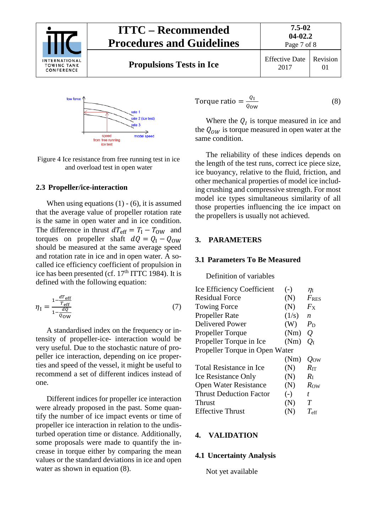



Figure 4 Ice resistance from free running test in ice and overload test in open water

#### <span id="page-6-0"></span>**2.3 Propeller/ice-interaction**

When using equations  $(1)$  -  $(6)$ , it is assumed that the average value of propeller rotation rate is the same in open water and in ice condition. The difference in thrust  $dT_{\text{eff}} = T_I - T_{\text{OW}}$  and torques on propeller shaft  $dQ = Q_1 - Q_{0W}$ should be measured at the same average speed and rotation rate in ice and in open water. A socalled ice efficiency coefficient of propulsion in ice has been presented (cf.  $17<sup>th</sup> ITTC$  1984). It is defined with the following equation:

$$
\eta_{\rm I} = \frac{1 - \frac{d\mathcal{T}_{\rm eff}}{\mathcal{T}_{\rm eff}}}{1 - \frac{d\mathcal{Q}}{\mathcal{Q}_{\rm OW}}}
$$
(7)

A standardised index on the frequency or intensity of propeller-ice- interaction would be very useful. Due to the stochastic nature of propeller ice interaction, depending on ice properties and speed of the vessel, it might be useful to recommend a set of different indices instead of one.

Different indices for propeller ice interaction were already proposed in the past. Some quantify the number of ice impact events or time of propeller ice interaction in relation to the undisturbed operation time or distance. Additionally, some proposals were made to quantify the increase in torque either by comparing the mean values or the standard deviations in ice and open water as shown in equation (8).

Torque ratio = 
$$
\frac{Q_{\text{I}}}{Q_{\text{ow}}}
$$
 (8)

Where the  $Q<sub>I</sub>$  is torque measured in ice and the  $Q_{OW}$  is torque measured in open water at the same condition.

The reliability of these indices depends on the length of the test runs, correct ice piece size, ice buoyancy, relative to the fluid, friction, and other mechanical properties of model ice including crushing and compressive strength. For most model ice types simultaneous similarity of all those properties influencing the ice impact on the propellers is usually not achieved.

#### <span id="page-6-2"></span><span id="page-6-1"></span>**3. PARAMETERS**

#### **3.1 Parameters To Be Measured**

Definition of variables

| <b>Ice Efficiency Coefficient</b> | $(-)$ | $\eta_{\rm I}$     |  |  |
|-----------------------------------|-------|--------------------|--|--|
| <b>Residual Force</b>             | (N)   | $F$ <sub>RES</sub> |  |  |
| <b>Towing Force</b>               | (N)   | $F_{\rm X}$        |  |  |
| <b>Propeller Rate</b>             | (1/s) | $\boldsymbol{n}$   |  |  |
| <b>Delivered Power</b>            | (W)   | $P_{\rm D}$        |  |  |
| <b>Propeller Torque</b>           | (Nm)  | $\varrho$          |  |  |
| Propeller Torque in Ice           | (Nm)  | $Q_{\rm I}$        |  |  |
| Propeller Torque in Open Water    |       |                    |  |  |
|                                   | (Nm)  | $Q_{\text{OW}}$    |  |  |
| <b>Total Resistance in Ice</b>    | (N)   | $R_{\rm IT}$       |  |  |
| <b>Ice Resistance Only</b>        | (N)   | $R_{\rm I}$        |  |  |
| <b>Open Water Resistance</b>      | (N)   | Row                |  |  |
| <b>Thrust Deduction Factor</b>    | $(-)$ | t                  |  |  |
| Thrust                            | (N)   | T                  |  |  |
| <b>Effective Thrust</b>           | (N)   | $T_{\rm eff}$      |  |  |
|                                   |       |                    |  |  |

#### <span id="page-6-4"></span><span id="page-6-3"></span>**4. VALIDATION**

#### **4.1 Uncertainty Analysis**

Not yet available